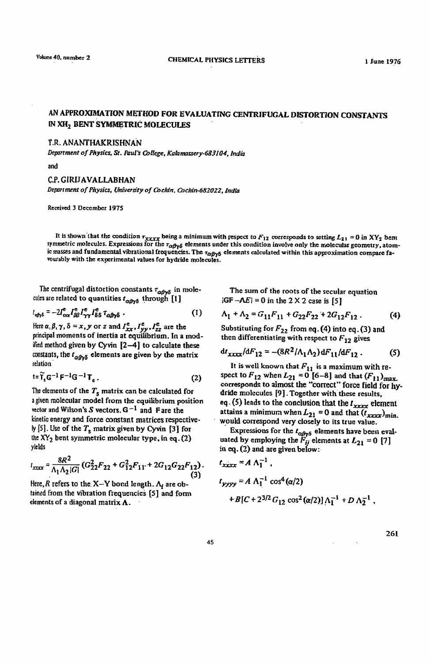## AN APPROXIMATION METHOD FOR EVALUATING CENTRIFUGAL DISTORTION CONSTANTS IN XH<sub>2</sub> BENT SYMMETRIC MOLECULES

## T.R. ANANTHAKRISHNAN

*Department of Physics, St. Faul's College, Kalamassery-683104, India* 

and

## C.P. GIRIlAVALLABHAN Department of Physics, University of Cochin, Cochin-682022, India

Received 3 December 1975

It is shown-that the condition  $\tau_{xxxx}$  being a minimum with respect to  $F_{12}$  corresponds to setting  $L_{21} = 0$  in XY<sub>2</sub> bem symmetric molecules. Expressions for the  $\tau_{\alpha\beta\gamma\delta}$  elements under this condition involve only the molecular geometry, atomic masses and fundamental vibrational frequencies. The  $\tau_{\alpha\beta\gamma\delta}$  elements calculated within this approximation compare fa-"Outably with the experimental values for hydride molecules.

The centrifugal distortion constants  $\tau_{\alpha\beta\gamma\delta}$  in molecules are related to quantities  $t_{\alpha\beta\gamma\delta}$  through [1]

$$
t_{\alpha\beta\gamma\delta} = -2I_{\alpha\alpha}^{\text{e}}I_{\beta\beta}^{\text{e}}I_{\gamma\gamma}^{\text{e}}I_{\delta\delta}^{\text{e}}I_{\alpha\beta\gamma\delta} \tag{1}
$$

Here  $\alpha, \beta, \gamma, \delta = x$ , y or z and  $I_{xx}^e$ ,  $I_{yy}^e$ ,  $I_{zz}^e$  are the principal moments of inertia at equilibrium, In a modified method given by Cyvin [2-4] to calculate these constants, the  $t_{\alpha\beta\gamma\delta}$  elements are given by the matrix relation

$$
t = \tilde{\mathbf{T}}_s \mathbf{G}^{-1} \mathbf{F}^{-1} \mathbf{G}^{-1} \mathbf{T}_s. \tag{2}
$$

The elements of the  $T_s$  matrix can be calculated for a given molecular model from the equilibrium position vector and Wilson's S vectors.  $G^{-1}$  and Fare the kinetic energy and force constant matrices respectively [5]. Use of the  $T_s$  matrix given by Cyvin [3] for the  $XY_2$  bent symmetric molecular type, in eq. (2) yields

$$
l_{xxxx} = \frac{8R^2}{\Lambda_1 \Lambda_2 |G|} (G_{22}^2 F_{22} + G_{12}^2 F_{11} + 2G_{12} G_{22} F_{12}).
$$
\n(3)

Here, R refers to the X-Y bond length.  $\Lambda_i$  are obtained from the vibration frequencies [5] and form elements of a diagonal matrix  $\Lambda$ .

The sum of the roots of the secular equation  $|GF - \Lambda E| = 0$  in the 2 X 2 case is [5]

$$
\Lambda_1 + \Lambda_2 = G_{11}F_{11} + G_{22}F_{22} + 2G_{12}F_{12}. \tag{4}
$$

Substituting for  $F_{22}$  from eq. (4) into eq. (3) and then differentiating with respect to  $F_{12}$  gives

$$
dt_{xxxx}/dF_{12} = -(8R^2/\Lambda_1\Lambda_2)dF_{11}/dF_{12}. \qquad (5)
$$

It is well known that  $F_{11}$  is a maximum with respect to  $F_{12}$  when  $L_{21} = 0$  [6-8] and that  $(F_{11})_{\text{max}}$ . corresponds to almost the "correct" force field for hydride molecules [9]. Together with these results, eq. (5) leads to the conclusion that the  $t_{xxxx}$  element attains a minimum when  $L_{21} = 0$  and that  $(t_{xxxx})_{\text{min}}$ . would correspond very closely to its true value.

Expressions for the  $t_{\alpha\beta\gamma\delta}$  elements have been evaluated by employing the  $\ddot{F}_{ij}$  elements at  $L_{21} = 0$  [7] in eq. (2) and are given below:

$$
t_{xxxx} = A \Lambda_1^{-1},
$$
  
\n
$$
t_{yyyy} = A \Lambda_1^{-1} \cos^4(\alpha/2)
$$
  
\n
$$
+ B[C + 2^{3/2} G_{12} \cos^2(\alpha/2)] \Lambda_1^{-1} + D \Lambda_2^{-1},
$$

261